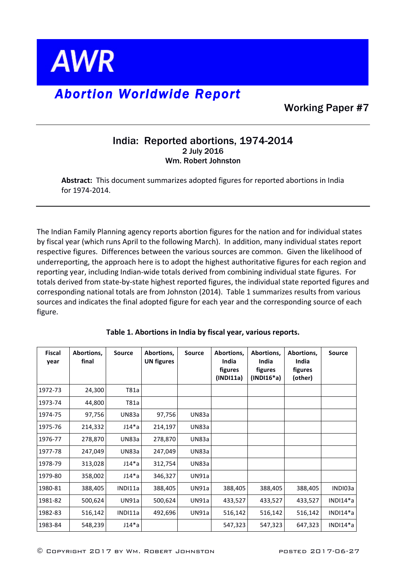

## *Abortion Worldwide Report*

Working Paper #7

## India: Reported abortions, 1974-2014 2 July 2016 Wm. Robert Johnston

Abstract: This document summarizes adopted figures for reported abortions in India for 1974-2014.

The Indian Family Planning agency reports abortion figures for the nation and for individual states by fiscal year (which runs April to the following March). In addition, many individual states report respective figures. Differences between the various sources are common. Given the likelihood of underreporting, the approach here is to adopt the highest authoritative figures for each region and reporting year, including Indian-wide totals derived from combining individual state figures. For totals derived from state-by-state highest reported figures, the individual state reported figures and corresponding national totals are from Johnston (2014). Table 1 summarizes results from various sources and indicates the final adopted figure for each year and the corresponding source of each figure.

| <b>Fiscal</b><br>year | Abortions,<br>final | <b>Source</b> | Abortions,<br><b>UN figures</b> | <b>Source</b> | Abortions,<br>India<br>figures<br>(INDI11a) | Abortions,<br>India<br>figures<br>$(INDI16*a)$ | Abortions,<br>India<br>figures<br>(other) | <b>Source</b> |
|-----------------------|---------------------|---------------|---------------------------------|---------------|---------------------------------------------|------------------------------------------------|-------------------------------------------|---------------|
| 1972-73               | 24,300              | T81a          |                                 |               |                                             |                                                |                                           |               |
| 1973-74               | 44,800              | T81a          |                                 |               |                                             |                                                |                                           |               |
| 1974-75               | 97,756              | UN83a         | 97,756                          | UN83a         |                                             |                                                |                                           |               |
| 1975-76               | 214,332             | $J14^*a$      | 214,197                         | UN83a         |                                             |                                                |                                           |               |
| 1976-77               | 278,870             | UN83a         | 278,870                         | UN83a         |                                             |                                                |                                           |               |
| 1977-78               | 247,049             | UN83a         | 247,049                         | UN83a         |                                             |                                                |                                           |               |
| 1978-79               | 313,028             | $J14^*a$      | 312,754                         | UN83a         |                                             |                                                |                                           |               |
| 1979-80               | 358,002             | $J14^*a$      | 346,327                         | UN91a         |                                             |                                                |                                           |               |
| 1980-81               | 388,405             | INDI11a       | 388,405                         | UN91a         | 388,405                                     | 388,405                                        | 388,405                                   | INDI03a       |
| 1981-82               | 500,624             | UN91a         | 500,624                         | UN91a         | 433,527                                     | 433,527                                        | 433,527                                   | INDI14*a      |
| 1982-83               | 516,142             | INDI11a       | 492,696                         | UN91a         | 516,142                                     | 516,142                                        | 516,142                                   | INDI14*a      |
| 1983-84               | 548,239             | $J14^*a$      |                                 |               | 547,323                                     | 547,323                                        | 647,323                                   | INDI14*a      |

Table 1. Abortions in India by fiscal year, various reports.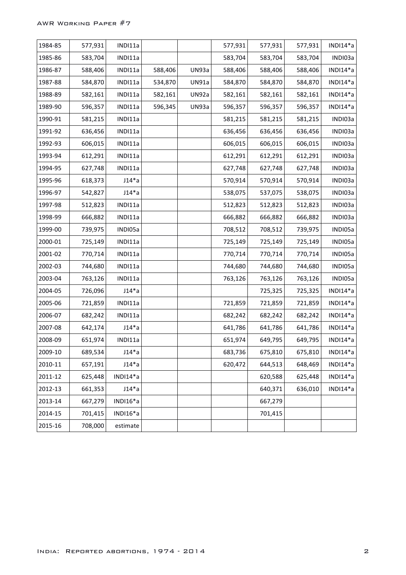| 1984-85 | 577,931 | INDI11a  |         |       | 577,931 | 577,931 | 577,931 | INDI14*a |
|---------|---------|----------|---------|-------|---------|---------|---------|----------|
| 1985-86 | 583,704 | INDI11a  |         |       | 583,704 | 583,704 | 583,704 | INDI03a  |
| 1986-87 | 588,406 | INDI11a  | 588,406 | UN93a | 588,406 | 588,406 | 588,406 | INDI14*a |
| 1987-88 | 584,870 | INDI11a  | 534,870 | UN91a | 584,870 | 584,870 | 584,870 | INDI14*a |
| 1988-89 | 582,161 | INDI11a  | 582,161 | UN92a | 582,161 | 582,161 | 582,161 | INDI14*a |
| 1989-90 | 596,357 | INDI11a  | 596,345 | UN93a | 596,357 | 596,357 | 596,357 | INDI14*a |
| 1990-91 | 581,215 | INDI11a  |         |       | 581,215 | 581,215 | 581,215 | INDI03a  |
| 1991-92 | 636,456 | INDI11a  |         |       | 636,456 | 636,456 | 636,456 | INDI03a  |
| 1992-93 | 606,015 | INDI11a  |         |       | 606,015 | 606,015 | 606,015 | INDI03a  |
| 1993-94 | 612,291 | INDI11a  |         |       | 612,291 | 612,291 | 612,291 | INDI03a  |
| 1994-95 | 627,748 | INDI11a  |         |       | 627,748 | 627,748 | 627,748 | INDI03a  |
| 1995-96 | 618,373 | $J14^*a$ |         |       | 570,914 | 570,914 | 570,914 | INDI03a  |
| 1996-97 | 542,827 | $J14^*a$ |         |       | 538,075 | 537,075 | 538,075 | INDI03a  |
| 1997-98 | 512,823 | INDI11a  |         |       | 512,823 | 512,823 | 512,823 | INDI03a  |
| 1998-99 | 666,882 | INDI11a  |         |       | 666,882 | 666,882 | 666,882 | INDI03a  |
| 1999-00 | 739,975 | INDI05a  |         |       | 708,512 | 708,512 | 739,975 | INDI05a  |
| 2000-01 | 725,149 | INDI11a  |         |       | 725,149 | 725,149 | 725,149 | INDI05a  |
| 2001-02 | 770,714 | INDI11a  |         |       | 770,714 | 770,714 | 770,714 | INDI05a  |
| 2002-03 | 744,680 | INDI11a  |         |       | 744,680 | 744,680 | 744,680 | INDI05a  |
| 2003-04 | 763,126 | INDI11a  |         |       | 763,126 | 763,126 | 763,126 | INDI05a  |
| 2004-05 | 726,096 | $J14^*a$ |         |       |         | 725,325 | 725,325 | INDI14*a |
| 2005-06 | 721,859 | INDI11a  |         |       | 721,859 | 721,859 | 721,859 | INDI14*a |
| 2006-07 | 682,242 | INDI11a  |         |       | 682,242 | 682,242 | 682,242 | INDI14*a |
| 2007-08 | 642,174 | $J14^*a$ |         |       | 641,786 | 641,786 | 641,786 | INDI14*a |
| 2008-09 | 651,974 | INDI11a  |         |       | 651,974 | 649,795 | 649,795 | INDI14*a |
| 2009-10 | 689,534 | $J14^*a$ |         |       | 683,736 | 675,810 | 675,810 | INDI14*a |
| 2010-11 | 657,191 | $J14^*a$ |         |       | 620,472 | 644,513 | 648,469 | INDI14*a |
| 2011-12 | 625,448 | INDI14*a |         |       |         | 620,588 | 625,448 | INDI14*a |
| 2012-13 | 661,353 | $J14^*a$ |         |       |         | 640,371 | 636,010 | INDI14*a |
| 2013-14 | 667,279 | INDI16*a |         |       |         | 667,279 |         |          |
| 2014-15 | 701,415 | INDI16*a |         |       |         | 701,415 |         |          |
| 2015-16 | 708,000 | estimate |         |       |         |         |         |          |